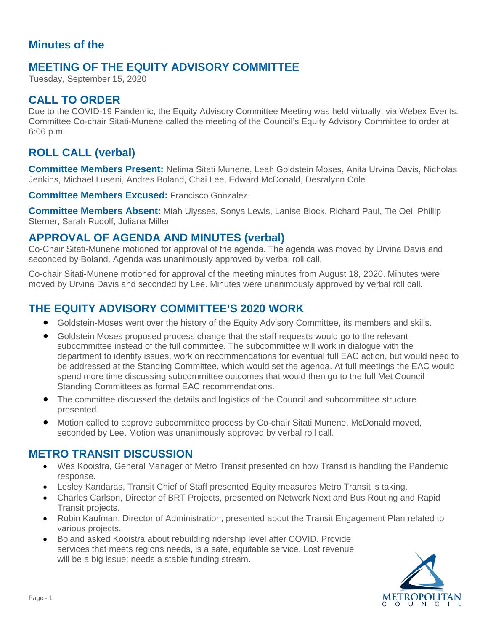#### **Minutes of the**

### **MEETING OF THE EQUITY ADVISORY COMMITTEE**

Tuesday, September 15, 2020

### **CALL TO ORDER**

Due to the COVID-19 Pandemic, the Equity Advisory Committee Meeting was held virtually, via Webex Events. Committee Co-chair Sitati-Munene called the meeting of the Council's Equity Advisory Committee to order at 6:06 p.m.

# **ROLL CALL (verbal)**

**Committee Members Present:** Nelima Sitati Munene, Leah Goldstein Moses, Anita Urvina Davis, Nicholas Jenkins, Michael Luseni, Andres Boland, Chai Lee, Edward McDonald, Desralynn Cole

**Committee Members Excused:** Francisco Gonzalez

**Committee Members Absent:** Miah Ulysses, Sonya Lewis, Lanise Block, Richard Paul, Tie Oei, Phillip Sterner, Sarah Rudolf, Juliana Miller

#### **APPROVAL OF AGENDA AND MINUTES (verbal)**

Co-Chair Sitati-Munene motioned for approval of the agenda. The agenda was moved by Urvina Davis and seconded by Boland. Agenda was unanimously approved by verbal roll call.

Co-chair Sitati-Munene motioned for approval of the meeting minutes from August 18, 2020. Minutes were moved by Urvina Davis and seconded by Lee. Minutes were unanimously approved by verbal roll call.

## **THE EQUITY ADVISORY COMMITTEE'S 2020 WORK**

- Goldstein-Moses went over the history of the Equity Advisory Committee, its members and skills.
- Goldstein Moses proposed process change that the staff requests would go to the relevant subcommittee instead of the full committee. The subcommittee will work in dialogue with the department to identify issues, work on recommendations for eventual full EAC action, but would need to be addressed at the Standing Committee, which would set the agenda. At full meetings the EAC would spend more time discussing subcommittee outcomes that would then go to the full Met Council Standing Committees as formal EAC recommendations.
- The committee discussed the details and logistics of the Council and subcommittee structure presented.
- Motion called to approve subcommittee process by Co-chair Sitati Munene. McDonald moved, seconded by Lee. Motion was unanimously approved by verbal roll call.

#### **METRO TRANSIT DISCUSSION**

- Wes Kooistra, General Manager of Metro Transit presented on how Transit is handling the Pandemic response.
- Lesley Kandaras, Transit Chief of Staff presented Equity measures Metro Transit is taking.
- Charles Carlson, Director of BRT Projects, presented on Network Next and Bus Routing and Rapid Transit projects.
- Robin Kaufman, Director of Administration, presented about the Transit Engagement Plan related to various projects.
- Boland asked Kooistra about rebuilding ridership level after COVID. Provide services that meets regions needs, is a safe, equitable service. Lost revenue will be a big issue; needs a stable funding stream.

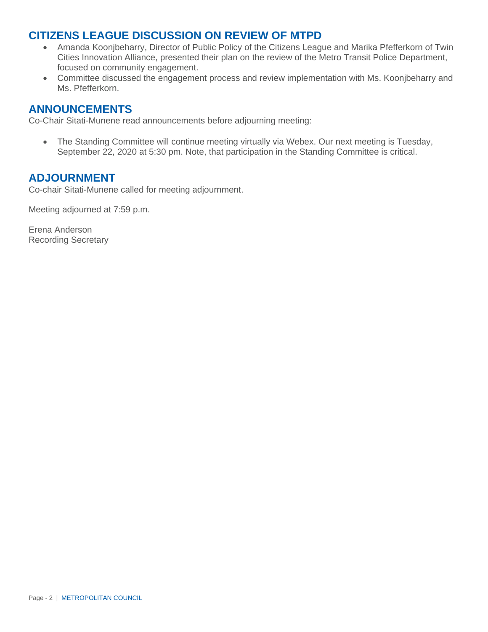### **CITIZENS LEAGUE DISCUSSION ON REVIEW OF MTPD**

- Amanda Koonjbeharry, Director of Public Policy of the Citizens League and Marika Pfefferkorn of Twin Cities Innovation Alliance, presented their plan on the review of the Metro Transit Police Department, focused on community engagement.
- Committee discussed the engagement process and review implementation with Ms. Koonjbeharry and Ms. Pfefferkorn.

#### **ANNOUNCEMENTS**

Co-Chair Sitati-Munene read announcements before adjourning meeting:

• The Standing Committee will continue meeting virtually via Webex. Our next meeting is Tuesday, September 22, 2020 at 5:30 pm. Note, that participation in the Standing Committee is critical.

#### **ADJOURNMENT**

Co-chair Sitati-Munene called for meeting adjournment.

Meeting adjourned at 7:59 p.m.

Erena Anderson Recording Secretary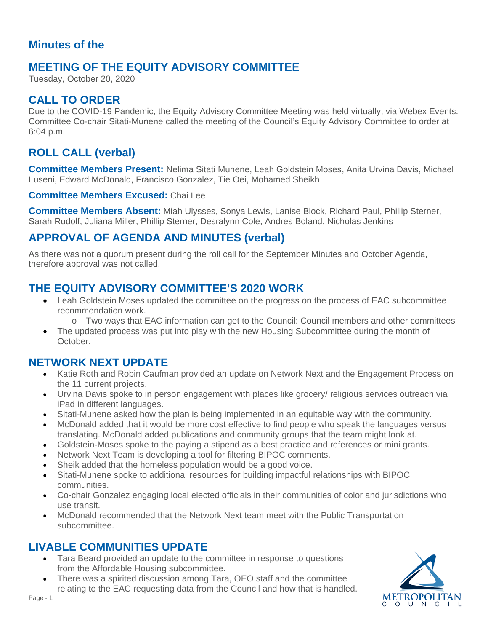#### **Minutes of the**

## **MEETING OF THE EQUITY ADVISORY COMMITTEE**

Tuesday, October 20, 2020

## **CALL TO ORDER**

Due to the COVID-19 Pandemic, the Equity Advisory Committee Meeting was held virtually, via Webex Events. Committee Co-chair Sitati-Munene called the meeting of the Council's Equity Advisory Committee to order at 6:04 p.m.

# **ROLL CALL (verbal)**

**Committee Members Present:** Nelima Sitati Munene, Leah Goldstein Moses, Anita Urvina Davis, Michael Luseni, Edward McDonald, Francisco Gonzalez, Tie Oei, Mohamed Sheikh

**Committee Members Excused:** Chai Lee

**Committee Members Absent:** Miah Ulysses, Sonya Lewis, Lanise Block, Richard Paul, Phillip Sterner, Sarah Rudolf, Juliana Miller, Phillip Sterner, Desralynn Cole, Andres Boland, Nicholas Jenkins

# **APPROVAL OF AGENDA AND MINUTES (verbal)**

As there was not a quorum present during the roll call for the September Minutes and October Agenda, therefore approval was not called.

### **THE EQUITY ADVISORY COMMITTEE'S 2020 WORK**

- Leah Goldstein Moses updated the committee on the progress on the process of EAC subcommittee recommendation work.
	- o Two ways that EAC information can get to the Council: Council members and other committees
- The updated process was put into play with the new Housing Subcommittee during the month of October.

#### **NETWORK NEXT UPDATE**

- Katie Roth and Robin Caufman provided an update on Network Next and the Engagement Process on the 11 current projects.
- Urvina Davis spoke to in person engagement with places like grocery/ religious services outreach via iPad in different languages.
- Sitati-Munene asked how the plan is being implemented in an equitable way with the community.
- McDonald added that it would be more cost effective to find people who speak the languages versus translating. McDonald added publications and community groups that the team might look at.
- Goldstein-Moses spoke to the paying a stipend as a best practice and references or mini grants.
- Network Next Team is developing a tool for filtering BIPOC comments.
- Sheik added that the homeless population would be a good voice.
- Sitati-Munene spoke to additional resources for building impactful relationships with BIPOC communities.
- Co-chair Gonzalez engaging local elected officials in their communities of color and jurisdictions who use transit.
- McDonald recommended that the Network Next team meet with the Public Transportation subcommittee.

#### **LIVABLE COMMUNITIES UPDATE**

- Tara Beard provided an update to the committee in response to questions from the Affordable Housing subcommittee.
- There was a spirited discussion among Tara, OEO staff and the committee relating to the EAC requesting data from the Council and how that is handled.